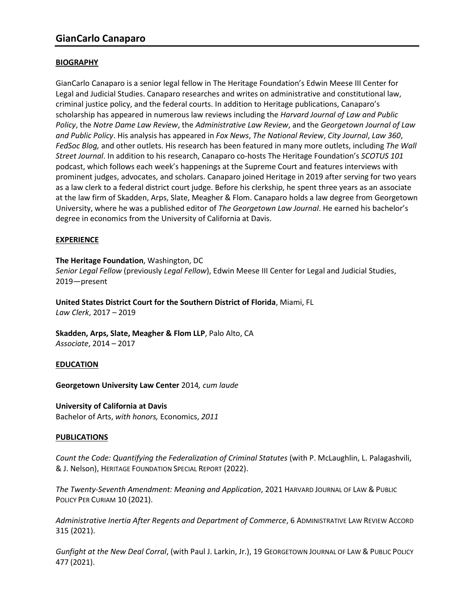# **BIOGRAPHY**

GianCarlo Canaparo is a senior legal fellow in The Heritage Foundation's Edwin Meese III Center for Legal and Judicial Studies. Canaparo researches and writes on administrative and constitutional law, criminal justice policy, and the federal courts. In addition to Heritage publications, Canaparo's scholarship has appeared in numerous law reviews including the *Harvard Journal of Law and Public Policy*, the *Notre Dame Law Review*, the *Administrative Law Review*, and the *Georgetown Journal of Law and Public Policy*. His analysis has appeared in *Fox News*, *The National Review*, *City Journal*, *Law 360*, *FedSoc Blog,* and other outlets. His research has been featured in many more outlets, including *The Wall Street Journal*. In addition to his research, Canaparo co-hosts The Heritage Foundation's *SCOTUS 101*  podcast, which follows each week's happenings at the Supreme Court and features interviews with prominent judges, advocates, and scholars. Canaparo joined Heritage in 2019 after serving for two years as a law clerk to a federal district court judge. Before his clerkship, he spent three years as an associate at the law firm of Skadden, Arps, Slate, Meagher & Flom. Canaparo holds a law degree from Georgetown University, where he was a published editor of *The Georgetown Law Journal*. He earned his bachelor's degree in economics from the University of California at Davis.

# **EXPERIENCE**

## **The Heritage Foundation**, Washington, DC

*Senior Legal Fellow* (previously *Legal Fellow*), Edwin Meese III Center for Legal and Judicial Studies, 2019—present

**United States District Court for the Southern District of Florida**, Miami, FL *Law Clerk*, 2017 – 2019

**Skadden, Arps, Slate, Meagher & Flom LLP**, Palo Alto, CA *Associate*, 2014 – 2017

## **EDUCATION**

**Georgetown University Law Center** 2014*, cum laude*

## **University of California at Davis**

Bachelor of Arts, *with honors,* Economics, *2011*

## **PUBLICATIONS**

*Count the Code: Quantifying the Federalization of Criminal Statutes* (with P. McLaughlin, L. Palagashvili, & J. Nelson), HERITAGE FOUNDATION SPECIAL REPORT (2022).

*The Twenty-Seventh Amendment: Meaning and Application*, 2021 HARVARD JOURNAL OF LAW & PUBLIC POLICY PER CURIAM 10 (2021).

*Administrative Inertia After Regents and Department of Commerce*, 6 ADMINISTRATIVE LAW REVIEW ACCORD 315 (2021).

*Gunfight at the New Deal Corral*, (with Paul J. Larkin, Jr.), 19 GEORGETOWN JOURNAL OF LAW & PUBLIC POLICY 477 (2021).